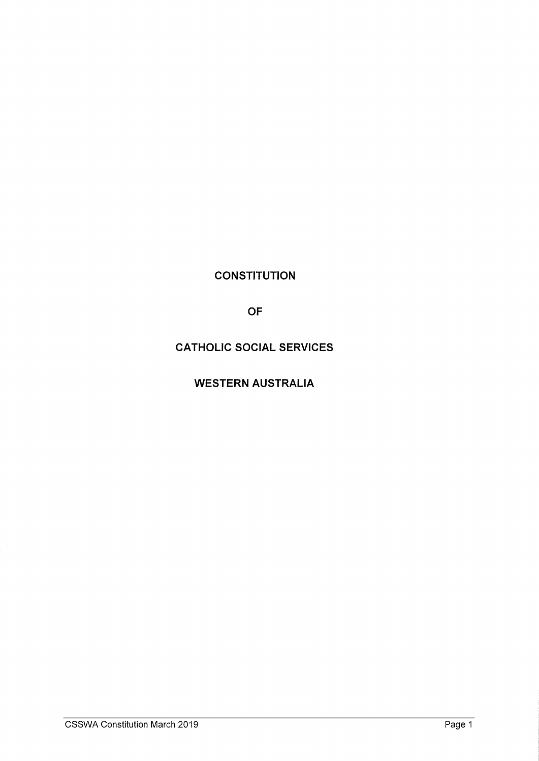**CONSTITUTION** 

OF

CATHOLIC SOCIAL SERVICES

WESTERN AUSTRALIA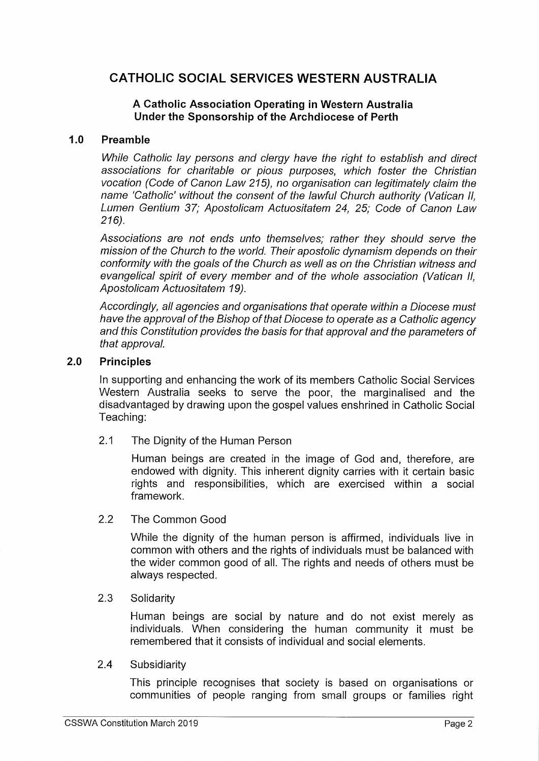# CATHOLIC SOCIAL SERVICES WESTERN AUSTRALIA

# A Catholic Association Operating in Western Australia Under the Sponsorship of the Archdiocese of Perth

#### $1.0$ Preamble

While Catholic lay persons and clergy have the right to establish and direct associations for charitable or pious purposes, which foster the Christian vocation (Code of Canon Law 215), no organisation can legitimately claim the name 'Catholic' without the consent of the lawful Church authority (Vatican II, Lumen Gentium 37; Apostolicam Actuositatem 24, 25, Code of Canon Law 216).

Associations are not ends unto themselves, rather they should serve the mission of the Church to the world. Their apostolic dynamism depends on their conformity with the goals of the Church as well as on the Christian witness and evangelical spirit of every member and of the whole association (Vatican II, Apostolicam Actuositatem 19).

Accordingly, all agencies and organisations that operate within a Diocese must have the approval of the Bishop of that Diocese to operate as a Catholic agency and this Constitution provides the basis for that approval and the parameters of that approval.

#### $2.0$ **Principles**

In supporting and enhancing the work of its members Catholic Social Services Western Australia seeks to serve the poor, the marginalised and the disadvantaged by drawing upon the gospel values enshrined in Catholic Social Teaching:

2.1 The Dignity of the Human Person

Human beings are created in the image of God and, therefore, are endowed with dignity. This inherent dignity carries with it certain basic rights and responsibilities, which are exercised within a social framework.

2.2 The Common Good

While the dignity of the human person is affirmed, individuals live in common with others and the rights of individuals must be balanced with the wider common good of all. The rights and needs of others must be always respected.

2.3 Solidarity

Human beings are social by nature and do not exist merely as individuals. When considering the human community it must be remembered that it consists of individual and social elements.

2.4 Subsidiarity

This principle recognises that society is based on organisations or communities of people ranging from small groups or families right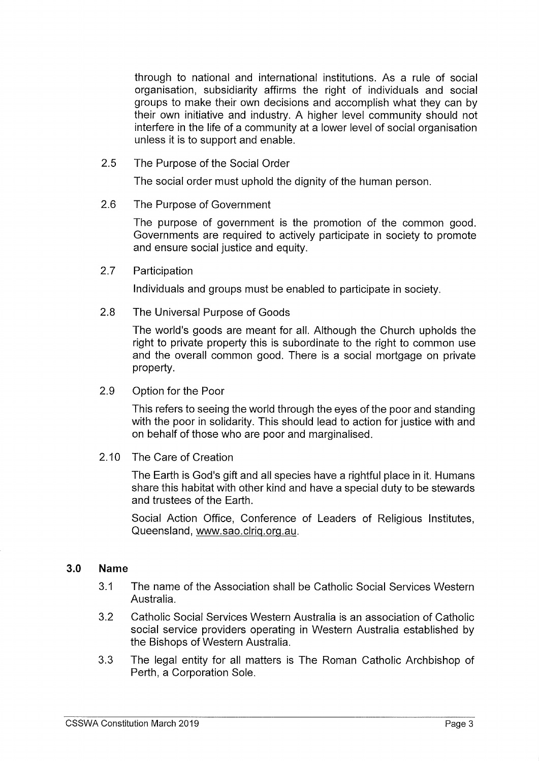through to national and international institutions. As a rule of social organisation, subsidiarity affirms the right of individuals and social groups to make their own decisions and accomplish what they can by their own initiative and industry. A higher level community should not interfere in the life of a community at a lower level of social organisation unless it is to support and enable.

2.5 The Purpose of the Social Order

The social order must uphold the dignity of the human person.

2.6 The Purpose of Government

The purpose of government is the promotion of the common good. Governments are required to actively participate in society to promote and ensure social justice and equity.

2.7 Participation

Individuals and groups must be enabled to participate in society.

2.8 The Universal Purpose of Goods

The world's goods are meant for all. Although the Church upholds the right to private property this is subordinate to the right to common use and the overall common good. There is a social mortgage on private property.

2.9 Option for the Poor

This refers to seeing the world through the eyes of the poor and standing with the poor in solidarity. This should lead to action for justice with and on behalf of those who are poor and marginalised.

2. 10 The Care of Creation

The Earth is God's gift and all species have a rightful place in it. Humans share this habitat with other kind and have a special duty to be stewards and trustees of the Earth.

Social Action Office, Conference of Leaders of Religious Institutes, Queensland, www.sao. clrig. org. au.

# 3.0 Name

- 3. <sup>1</sup> The name of the Association shall be Catholic Social Services Western Australia.
- 3. 2 Catholic Social Services Western Australia is an association of Catholic social service providers operating in Western Australia established by the Bishops of Western Australia.
- 3. 3 The legal entity for all matters is The Roman Catholic Archbishop of Perth, a Corporation Sole.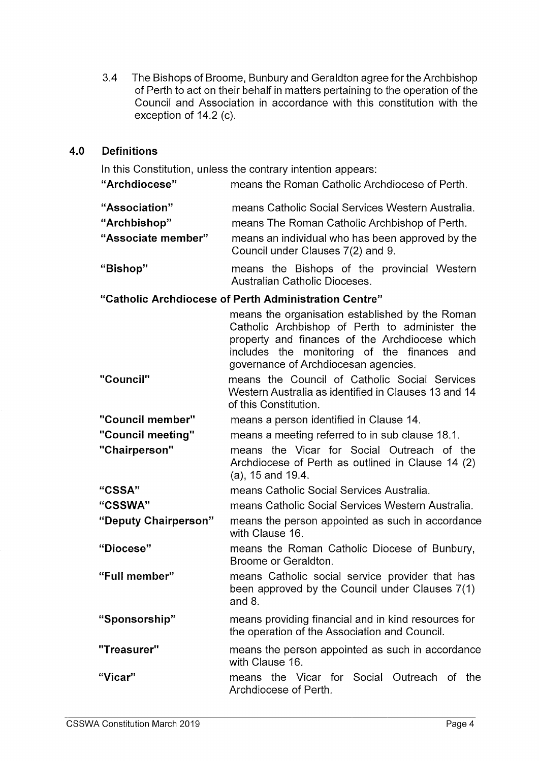3.4 The Bishops of Broome, Bunbury and Geraldton agree for the Archbishop of Perth to act on their behalf in matters pertaining to the operation of the Council and Association in accordance with this constitution with the exception of  $14.2$  (c).

#### 4.0 **Definitions**

In this Constitution, unless the contrary intention appears:

Archdiocese" means the Roman Catholic Archdiocese of Perth.

| "Association"      | means Catholic Social Services Western Australia.                                     |
|--------------------|---------------------------------------------------------------------------------------|
| "Archbishop"       | means The Roman Catholic Archbishop of Perth.                                         |
| "Associate member" | means an individual who has been approved by the<br>Council under Clauses 7(2) and 9. |
| "Richon"           | means the Rishons of the provincial Western                                           |

Bishop" means the Bishops of the provincial Western Australian Catholic Dioceses.

# Catholic Archdiocese of Perth Administration Centre"

means the organisation established by the Roman Catholic Archbishop of Perth to administer the property and finances of the Archdiocese which includes the monitoring of the finances and governance of Archdiocesan agencies.

Council" means the Council of Catholic Social Services Western Australia as identified in Clauses 13 and 14 of this Constitution.

Council member" means a person identified in Clause 14.

- Council meeting" means a meeting referred to in sub clause 18. 1.
- Chairperson" means the Vicar for Social Outreach of the Archdiocese of Perth as outlined in Clause 14 (2) a), 15 and 19.4.
- CSSA" means Catholic Social Services Australia.
- CSSWA" means Catholic Social Services Western Australia.
- Deputy Chairperson" means the person appointed as such in accordance with Clause 16.
- Diocese" means the Roman Catholic Diocese of Bunbury, Broome or Geraldton.
- Full member" means Catholic social service provider that has been approved by the Council under Clauses 7(1) and 8.
- Sponsorship" means providing financial and in kind resources for the operation of the Association and Council.
- Treasurer" means the person appointed as such in accordance with Clause 16.

Vicar" means the Vicar for Social Outreach of the Archdiocese of Perth.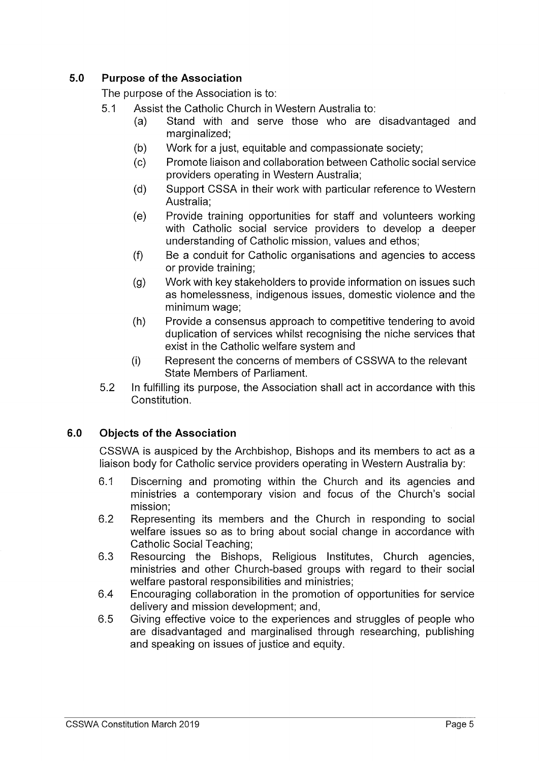# 5.0 Purpose of the Association

The purpose of the Association is to:

- 5. <sup>1</sup> Assist the Catholic Church in Western Australia to:
	- a) Stand with and serve those who are disadvantaged and marginalized;
	- b) Work for a just, equitable and compassionate society;
	- c) Promote liaison and collaboration between Catholic social service providers operating in Western Australia;
	- d) Support CSSA in their work with particular reference to Western Australia;
	- e) Provide training opportunities for staff and volunteers working with Catholic social service providers to develop a deeper understanding of Catholic mission, values and ethos;
	- f) Be a conduit for Catholic organisations and agencies to access or provide training;
	- g) Work with key stakeholders to provide information on issues such as homelessness, indigenous issues, domestic violence and the minimum wage;
	- h) Provide a consensus approach to competitive tendering to avoid duplication of services whilst recognising the niche services that exist in the Catholic welfare system and
	- i) Represent the concerns of members of CSSWA to the relevant State Members of Parliament.
- 5.2 In fulfilling its purpose, the Association shall act in accordance with this Constitution.

# 6.0 Objects of the Association

CSSWA is auspiced by the Archbishop, Bishops and its members to act as a liaison body for Catholic service providers operating in Western Australia by:

- 6.1 Discerning and promoting within the Church and its agencies and ministries a contemporary vision and focus of the Church's social mission;
- 6.2 Representing its members and the Church in responding to social welfare issues so as to bring about social change in accordance with Catholic Social Teaching;
- 6. <sup>3</sup> Resourcing the Bishops, Religious Institutes, Church agencies, ministries and other Church -based groups with regard to their social welfare pastoral responsibilities and ministries;
- 6.4 Encouraging collaboration in the promotion of opportunities for service delivery and mission development; and,
- 6. 5 Giving effective voice to the experiences and struggles of people who are disadvantaged and marginalised through researching, publishing and speaking on issues of justice and equity.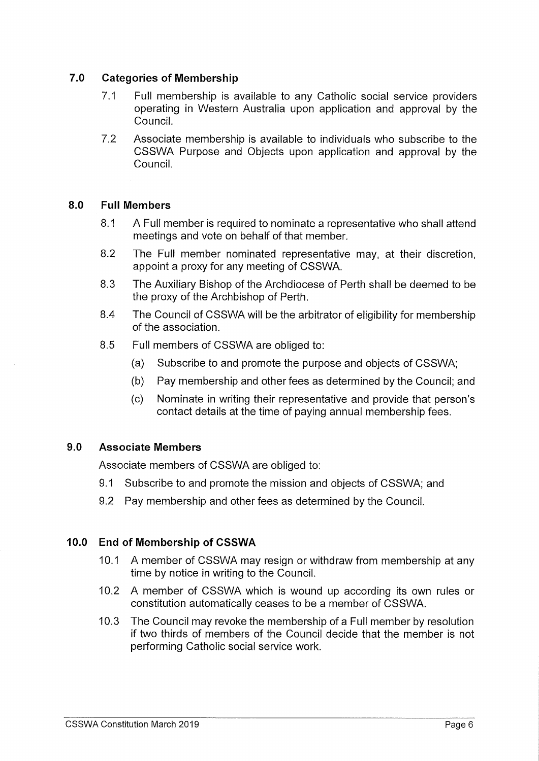# 7.0 Categories of Membership

- 7.1 Full membership is available to any Catholic social service providers operating in Western Australia upon application and approval by the Council.
- 7.2 Associate membership is available to individuals who subscribe to the CSSWA Purpose and Objects upon application and approval by the Council.

# 8.0 Full Members

- 8.1 A Full member is required to nominate a representative who shall attend meetings and vote on behalf of that member.
- 8.2 The Full member nominated representative may, at their discretion, appoint a proxy for any meeting of CSSWA.
- 8.3 The Auxiliary Bishop of the Archdiocese of Perth shall be deemed to be the proxy of the Archbishop of Perth.
- 8.4 The Council of CSSWA will be the arbitrator of eligibility for membership of the association.
- 8.5 Full members of CSSWA are obliged to:
	- a) Subscribe to and promote the purpose and objects of CSSWA;
	- b) Pay membership and other fees as determined by the Council; and
	- c) Nominate in writing their representative and provide that person' s contact details at the time of paying annual membership fees.

# 9.0 Associate Members

Associate members of CSSWA are obliged to:

- 9.1 Subscribe to and promote the mission and objects of CSSWA; and
- 9.2 Pay membership and other fees as determined by the Council.

# 10.0 End of Membership of CSSWA

- 10.1 A member of CSSWA may resign or withdraw from membership at any time by notice in writing to the Council.
- 10.2 A member of CSSWA which is wound up according its own rules or constitution automatically ceases to be a member of CSSWA.
- 10.3 The Council may revoke the membership of a Full member by resolution if two thirds of members of the Council decide that the member is not performing Catholic social service work.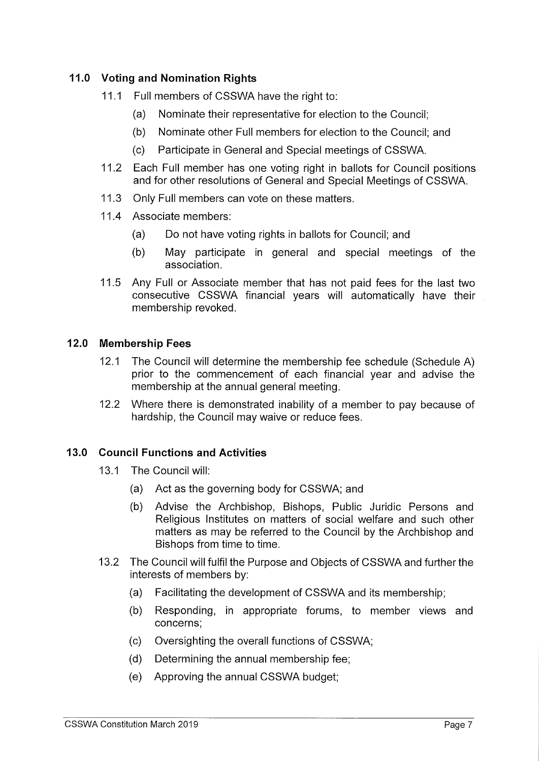# 11.0 Voting and Nomination Rights

- 11.1 Full members of CSSWA have the right to:
	- a) Nominate their representative for election to the Council;
	- b) Nominate other Full members for election to the Council; and
	- c) Participate in General and Special meetings of CSSWA.
- 11.2 Each Full member has one voting right in ballots for Council positions and for other resolutions of General and Special Meetings of CSSWA.
- 11.3 Only Full members can vote on these matters.
- 11.4 Associate members:
	- a) Do not have voting rights in ballots for Council; and
	- b) May participate in general and special meetings of the association.
- 11.5 Any Full or Associate member that has not paid fees for the last two consecutive CSSWA financial years will automatically have their membership revoked.

# 12.0 Membership Fees

- 12.1 The Council will determine the membership fee schedule (Schedule A) prior to the commencement of each financial year and advise the membership at the annual general meeting.
- 12.2 Where there is demonstrated inability of a member to pay because of hardship, the Council may waive or reduce fees.

# 13.0 Council Functions and Activities

- 13.1 The Council will:
	- a) Act as the governing body for CSSWA; and
	- b) Advise the Archbishop, Bishops, Public Juridic Persons and Religious Institutes on matters of social welfare and such other matters as may be referred to the Council by the Archbishop and Bishops from time to time.
- 13.2 The Council will fulfil the Purpose and Objects of CSSWA and further the interests of members by:
	- a) Facilitating the development of CSSWA and its membership;
	- b) Responding, in appropriate forums, to member views and concerns;
	- c) Oversighting the overall functions of CSSWA;
	- d) Determining the annual membership fee;
	- e) Approving the annual CSSWA budget;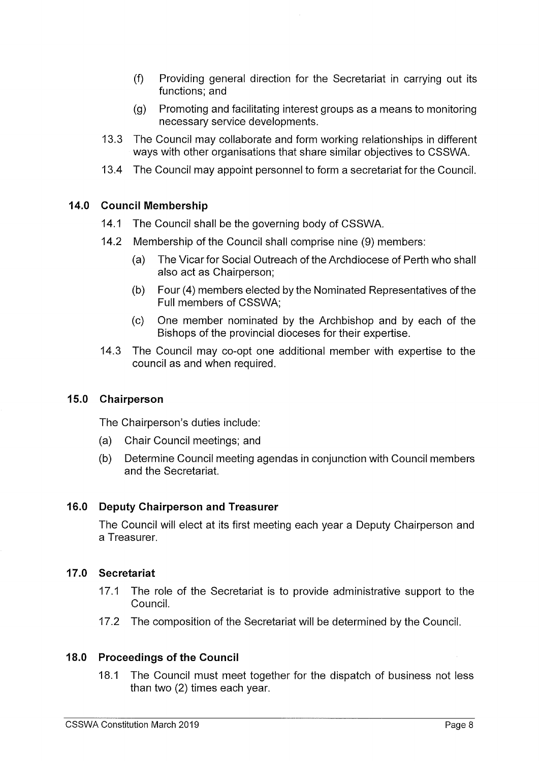- f) Providing general direction for the Secretariat in carrying out its functions; and
- g) Promoting and facilitating interest groups as a means to monitoring necessary service developments.
- 13. 3 The Council may collaborate and form working relationships in different ways with other organisations that share similar objectives to CSSWA.
- 13. 4 The Council may appoint personnel to forma secretariat for the Council.

# 14.0 Council Membership

- 14.1 The Council shall be the governing body of CSSWA.
- 14.2 Membership of the Council shall comprise nine (9) members:
	- a) The Vicar for Social Outreach of the Archdiocese of Perth who shall also act as Chairperson;
	- b) Four (4) members elected by the Nominated Representatives of the Full members of CSSWA;
	- c) One member nominated by the Archbishop and by each of the Bishops of the provincial dioceses for their expertise.
- 14.3 The Council may co-opt one additional member with expertise to the council as and when required.

#### 15.0 Chairperson

The Chairperson's duties include:

- a) Chair Council meetings; and
- b) Determine Council meeting agendas in conjunction with Council members and the Secretariat.

#### 16.0 Deputy Chairperson and Treasurer

The Council will elect at its first meeting each year a Deputy Chairperson and a Treasurer.

# 17.0 Secretariat

- 17.1 The role of the Secretariat is to provide administrative support to the Council.
- 17.2 The composition of the Secretariat will be determined by the Council.

#### 18.0 Proceedings of the Council

18.1 The Council must meet together for the dispatch of business not less than two (2) times each year.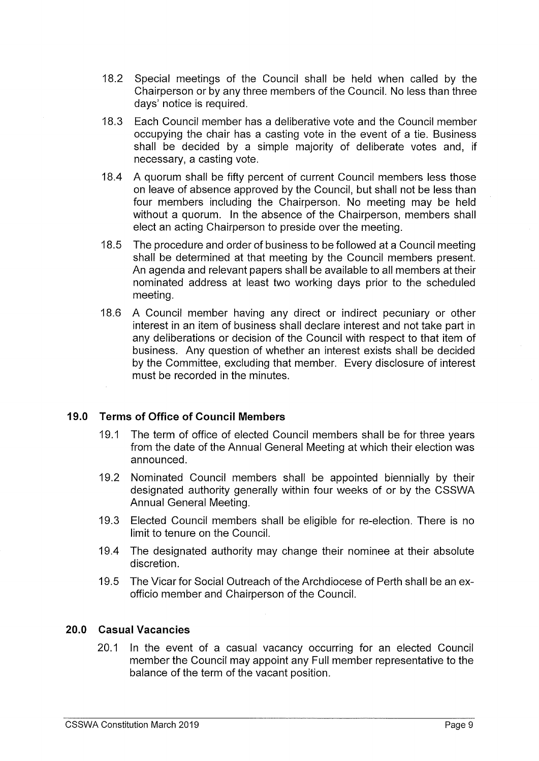- 18.2 Special meetings of the Council shall be held when called by the Chairperson or by any three members of the Council. No less than three days' notice is required.
- 18. 3 Each Council member has a deliberative vote and the Council member occupying the chair has a casting vote in the event of a tie. Business shall be decided by a simple majority of deliberate votes and, if necessary, a casting vote.
- 18.4 A quorum shall be fifty percent of current Council members less those on leave of absence approved by the Council, but shall not be less than four members including the Chairperson. No meeting may be held without a quorum. In the absence of the Chairperson, members shall elect an acting Chairperson to preside over the meeting.
- 18.5 The procedure and order of business to be followed at a Council meeting shall be determined at that meeting by the Council members present. An agenda and relevant papers shall be available to all members at their nominated address at least two working days prior to the scheduled meeting.
- 18.6 A Council member having any direct or indirect pecuniary or other interest in an item of business shall declare interest and not take part in any deliberations or decision of the Council with respect to that item of business. Any question of whether an interest exists shall be decided by the Committee, excluding that member. Every disclosure of interest must be recorded in the minutes.

# 19.0 Terms of Office of Council Members

- 19.1 The term of office of elected Council members shall be for three years from the date of the Annual General Meeting at which their election was announced.
- 19.2 Nominated Council members shall be appointed biennially by their designated authority generally within four weeks of or by the CSSWA Annual General Meeting.
- 19.3 Elected Council members shall be eligible for re-election. There is no limit to tenure on the Council.
- 19.4 The designated authority may change their nominee at their absolute discretion.
- 19.5 The Vicar for Social Outreach of the Archdiocese of Perth shall be an exofficio member and Chairperson of the Council.

# 20.0 Casual Vacancies

20.1 In the event of a casual vacancy occurring for an elected Council member the Council may appoint any Full member representative to the balance of the term of the vacant position.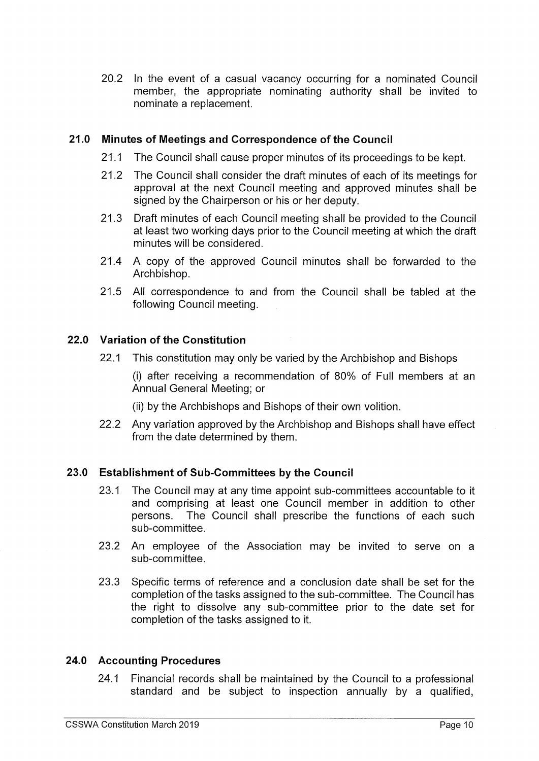20.2 In the event of a casual vacancy occurring for <sup>a</sup> nominated Council member, the appropriate nominating authority shall be invited to nominate a replacement.

## 21.0 Minutes of Meetings and Correspondence of the Council

- 21.1 The Council shall cause proper minutes of its proceedings to be kept.
- 21.2 The Council shall consider the draft minutes of each of its meetings for approval at the next Council meeting and approved minutes shall be signed by the Chairperson or his or her deputy.
- 21.3 Draft minutes of each Council meeting shall be provided to the Council at least two working days prior to the Council meeting at which the draft minutes will be considered.
- 21.4 A copy of the approved Council minutes shall be forwarded to the Archbishop.
- 21.5 All correspondence to and from the Council shall be tabled at the following Council meeting.

### 22.0 Variation of the Constitution

22.1 This constitution may only be varied by the Archbishop and Bishops

i) after receiving a recommendation of 80% of Full members at an Annual General Meeting; or

- ii) by the Archbishops and Bishops of their own volition.
- 22.2 Any variation approved by the Archbishop and Bishops shall have effect from the date determined by them.

# 23.0 Establishment of Sub -Committees by the Council

- 23.1 The Council may at any time appoint sub-committees accountable to it and comprising at least one Council member in addition to other persons. The Council shall prescribe the functions of each such sub-committee.
- 23.2 An employee of the Association may be invited to serve on <sup>a</sup> sub-committee.
- 23. 3 Specific terms of reference and a conclusion date shall be set for the completion of the tasks assigned to the sub -committee. The Council has the right to dissolve any sub -committee prior to the date set for completion of the tasks assigned to it.

#### 24.0 Accounting Procedures

24.1 Financial records shall be maintained by the Council to a professional standard and be subject to inspection annually by <sup>a</sup> qualified,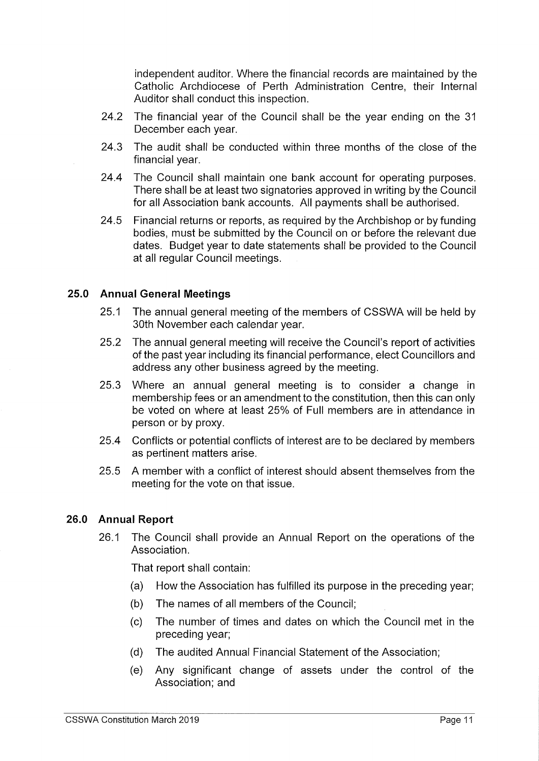independent auditor. Where the financial records are maintained by the Catholic Archdiocese of Perth Administration Centre, their Internal Auditor shall conduct this inspection.

- 24.2 The financial year of the Council shall be the year ending on the <sup>31</sup> December each year.
- 24.3 The audit shall be conducted within three months of the close of the financial year.
- 24.4 The Council shall maintain one bank account for operating purposes. There shall be at least two signatories approved in writing by the Council for all Association bank accounts. All payments shall be authorised.
- 24.5 Financial returns or reports, as required by the Archbishop or by funding bodies, must be submitted by the Council on or before the relevant due dates. Budget year to date statements shall be provided to the Council at all regular Council meetings.

### 25.0 Annual General Meetings

- 25.1 The annual general meeting of the members of CSSWA will be held by 30th November each calendar year.
- 25.2 The annual general meeting will receive the Council's report of activities of the past year including its financial performance, elect Councillors and address any other business agreed by the meeting.
- 25. <sup>3</sup> Where an annual general meeting is to consider <sup>a</sup> change in membership fees or an amendment to the constitution, then this can only be voted on where at least 25% of Full members are in attendance in person or by proxy.
- 25.4 Conflicts or potential conflicts of interest are to be declared by members as pertinent matters arise.
- 25. 5 A member with a conflict of interest should absent themselves from the meeting for the vote on that issue.

### 26.0 Annual Report

26.1 The Council shall provide an Annual Report on the operations of the Association.

That report shall contain:

- a) How the Association has fulfilled its purpose in the preceding year;
- b) The names of all members of the Council;
- c) The number of times and dates on which the Council met in the preceding year;
- d) The audited Annual Financial Statement of the Association;
- e) Any significant change of assets under the control of the Association; and